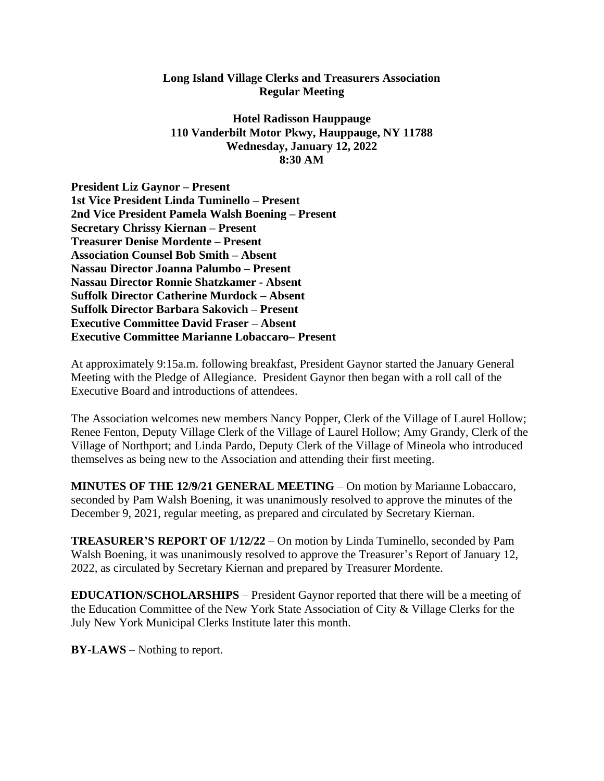## **Long Island Village Clerks and Treasurers Association Regular Meeting**

**Hotel Radisson Hauppauge 110 Vanderbilt Motor Pkwy, Hauppauge, NY 11788 Wednesday, January 12, 2022 8:30 AM**

**President Liz Gaynor – Present 1st Vice President Linda Tuminello – Present 2nd Vice President Pamela Walsh Boening – Present Secretary Chrissy Kiernan – Present Treasurer Denise Mordente – Present Association Counsel Bob Smith – Absent Nassau Director Joanna Palumbo – Present Nassau Director Ronnie Shatzkamer - Absent Suffolk Director Catherine Murdock – Absent Suffolk Director Barbara Sakovich – Present Executive Committee David Fraser – Absent Executive Committee Marianne Lobaccaro– Present**

At approximately 9:15a.m. following breakfast, President Gaynor started the January General Meeting with the Pledge of Allegiance. President Gaynor then began with a roll call of the Executive Board and introductions of attendees.

The Association welcomes new members Nancy Popper, Clerk of the Village of Laurel Hollow; Renee Fenton, Deputy Village Clerk of the Village of Laurel Hollow; Amy Grandy, Clerk of the Village of Northport; and Linda Pardo, Deputy Clerk of the Village of Mineola who introduced themselves as being new to the Association and attending their first meeting.

**MINUTES OF THE 12/9/21 GENERAL MEETING** – On motion by Marianne Lobaccaro, seconded by Pam Walsh Boening, it was unanimously resolved to approve the minutes of the December 9, 2021, regular meeting, as prepared and circulated by Secretary Kiernan.

**TREASURER'S REPORT OF 1/12/22** – On motion by Linda Tuminello, seconded by Pam Walsh Boening, it was unanimously resolved to approve the Treasurer's Report of January 12, 2022, as circulated by Secretary Kiernan and prepared by Treasurer Mordente.

**EDUCATION/SCHOLARSHIPS** – President Gaynor reported that there will be a meeting of the Education Committee of the New York State Association of City & Village Clerks for the July New York Municipal Clerks Institute later this month.

**BY-LAWS** – Nothing to report.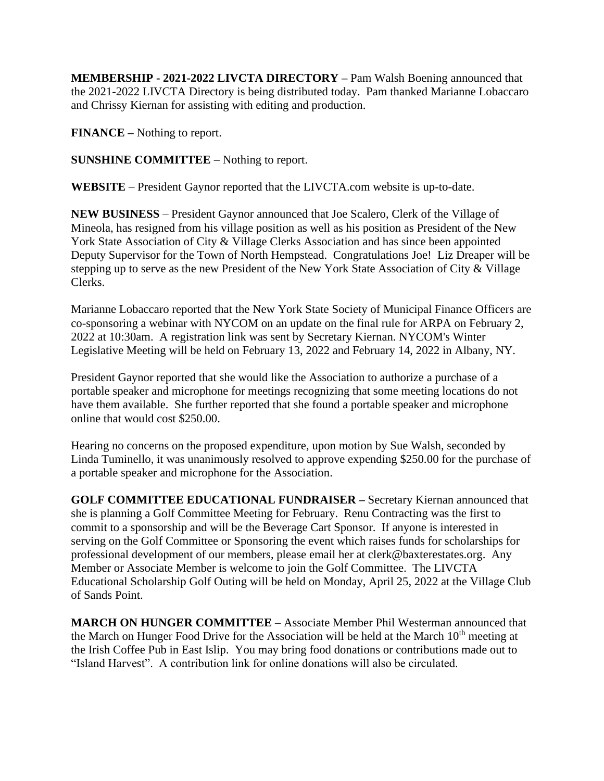**MEMBERSHIP - 2021-2022 LIVCTA DIRECTORY –** Pam Walsh Boening announced that the 2021-2022 LIVCTA Directory is being distributed today. Pam thanked Marianne Lobaccaro and Chrissy Kiernan for assisting with editing and production.

**FINANCE –** Nothing to report.

**SUNSHINE COMMITTEE** – Nothing to report.

**WEBSITE** – President Gaynor reported that the LIVCTA.com website is up-to-date.

**NEW BUSINESS** – President Gaynor announced that Joe Scalero, Clerk of the Village of Mineola, has resigned from his village position as well as his position as President of the New York State Association of City & Village Clerks Association and has since been appointed Deputy Supervisor for the Town of North Hempstead. Congratulations Joe! Liz Dreaper will be stepping up to serve as the new President of the New York State Association of City & Village Clerks.

Marianne Lobaccaro reported that the New York State Society of Municipal Finance Officers are co-sponsoring a webinar with NYCOM on an update on the final rule for ARPA on February 2, 2022 at 10:30am. A registration link was sent by Secretary Kiernan. NYCOM's Winter Legislative Meeting will be held on February 13, 2022 and February 14, 2022 in Albany, NY.

President Gaynor reported that she would like the Association to authorize a purchase of a portable speaker and microphone for meetings recognizing that some meeting locations do not have them available. She further reported that she found a portable speaker and microphone online that would cost \$250.00.

Hearing no concerns on the proposed expenditure, upon motion by Sue Walsh, seconded by Linda Tuminello, it was unanimously resolved to approve expending \$250.00 for the purchase of a portable speaker and microphone for the Association.

**GOLF COMMITTEE EDUCATIONAL FUNDRAISER –** Secretary Kiernan announced that she is planning a Golf Committee Meeting for February. Renu Contracting was the first to commit to a sponsorship and will be the Beverage Cart Sponsor. If anyone is interested in serving on the Golf Committee or Sponsoring the event which raises funds for scholarships for professional development of our members, please email her at clerk@baxterestates.org. Any Member or Associate Member is welcome to join the Golf Committee. The LIVCTA Educational Scholarship Golf Outing will be held on Monday, April 25, 2022 at the Village Club of Sands Point.

**MARCH ON HUNGER COMMITTEE** – Associate Member Phil Westerman announced that the March on Hunger Food Drive for the Association will be held at the March 10<sup>th</sup> meeting at the Irish Coffee Pub in East Islip. You may bring food donations or contributions made out to "Island Harvest". A contribution link for online donations will also be circulated.